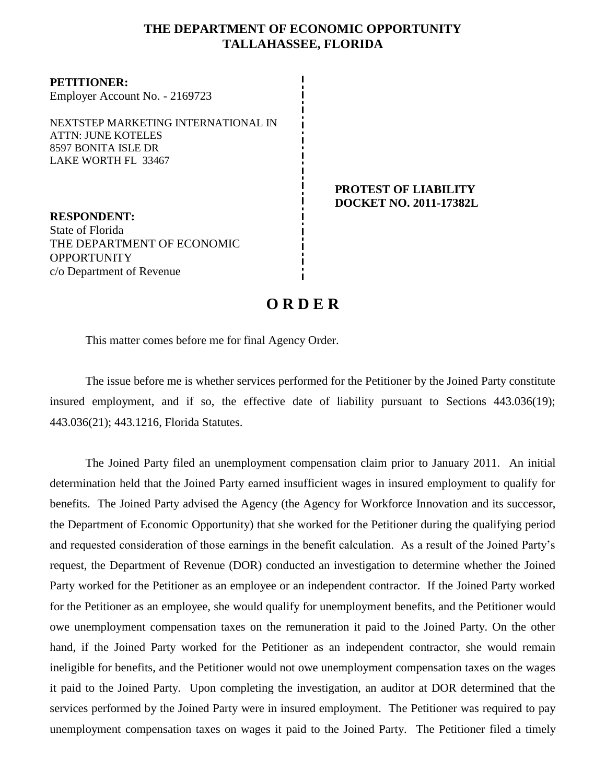## **THE DEPARTMENT OF ECONOMIC OPPORTUNITY TALLAHASSEE, FLORIDA**

**PETITIONER:** Employer Account No. - 2169723 NEXTSTEP MARKETING INTERNATIONAL IN ATTN: JUNE KOTELES

8597 BONITA ISLE DR LAKE WORTH FL 33467

**RESPONDENT:** State of Florida THE DEPARTMENT OF ECONOMIC **OPPORTUNITY** c/o Department of Revenue

#### **PROTEST OF LIABILITY DOCKET NO. 2011-17382L**

# **O R D E R**

This matter comes before me for final Agency Order.

The issue before me is whether services performed for the Petitioner by the Joined Party constitute insured employment, and if so, the effective date of liability pursuant to Sections 443.036(19); 443.036(21); 443.1216, Florida Statutes.

The Joined Party filed an unemployment compensation claim prior to January 2011.An initial determination held that the Joined Party earned insufficient wages in insured employment to qualify for benefits. The Joined Party advised the Agency (the Agency for Workforce Innovation and its successor, the Department of Economic Opportunity) that she worked for the Petitioner during the qualifying period and requested consideration of those earnings in the benefit calculation. As a result of the Joined Party's request, the Department of Revenue (DOR) conducted an investigation to determine whether the Joined Party worked for the Petitioner as an employee or an independent contractor. If the Joined Party worked for the Petitioner as an employee, she would qualify for unemployment benefits, and the Petitioner would owe unemployment compensation taxes on the remuneration it paid to the Joined Party. On the other hand, if the Joined Party worked for the Petitioner as an independent contractor, she would remain ineligible for benefits, and the Petitioner would not owe unemployment compensation taxes on the wages it paid to the Joined Party. Upon completing the investigation, an auditor at DOR determined that the services performed by the Joined Party were in insured employment. The Petitioner was required to pay unemployment compensation taxes on wages it paid to the Joined Party.The Petitioner filed a timely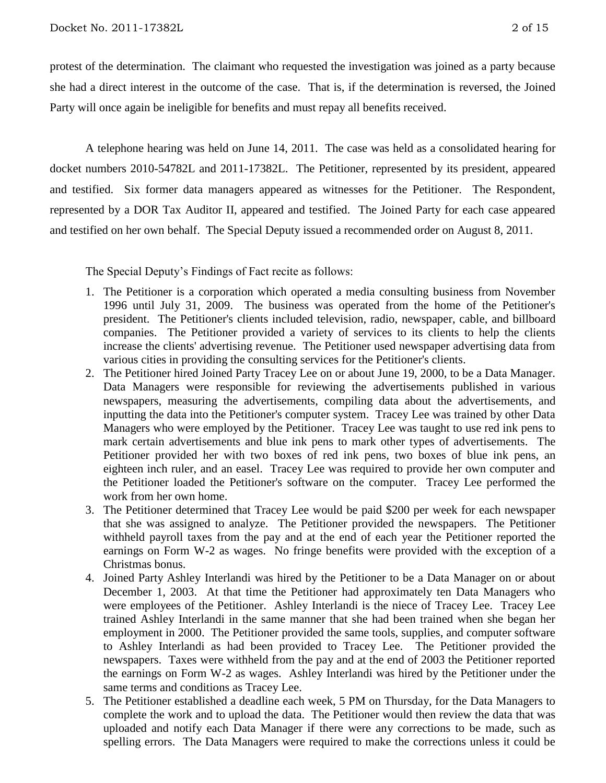protest of the determination.The claimant who requested the investigation was joined as a party because she had a direct interest in the outcome of the case. That is, if the determination is reversed, the Joined Party will once again be ineligible for benefits and must repay all benefits received.

A telephone hearing was held on June 14, 2011.The case was held as a consolidated hearing for docket numbers 2010-54782L and 2011-17382L.The Petitioner, represented by its president, appeared and testified. Six former data managers appeared as witnesses for the Petitioner. The Respondent, represented by a DOR Tax Auditor II, appeared and testified. The Joined Party for each case appeared and testified on her own behalf. The Special Deputy issued a recommended order on August 8, 2011.

The Special Deputy's Findings of Fact recite as follows:

- 1. The Petitioner is a corporation which operated a media consulting business from November 1996 until July 31, 2009. The business was operated from the home of the Petitioner's president. The Petitioner's clients included television, radio, newspaper, cable, and billboard companies. The Petitioner provided a variety of services to its clients to help the clients increase the clients' advertising revenue. The Petitioner used newspaper advertising data from various cities in providing the consulting services for the Petitioner's clients.
- 2. The Petitioner hired Joined Party Tracey Lee on or about June 19, 2000, to be a Data Manager. Data Managers were responsible for reviewing the advertisements published in various newspapers, measuring the advertisements, compiling data about the advertisements, and inputting the data into the Petitioner's computer system. Tracey Lee was trained by other Data Managers who were employed by the Petitioner. Tracey Lee was taught to use red ink pens to mark certain advertisements and blue ink pens to mark other types of advertisements. The Petitioner provided her with two boxes of red ink pens, two boxes of blue ink pens, an eighteen inch ruler, and an easel. Tracey Lee was required to provide her own computer and the Petitioner loaded the Petitioner's software on the computer. Tracey Lee performed the work from her own home.
- 3. The Petitioner determined that Tracey Lee would be paid \$200 per week for each newspaper that she was assigned to analyze. The Petitioner provided the newspapers. The Petitioner withheld payroll taxes from the pay and at the end of each year the Petitioner reported the earnings on Form W-2 as wages. No fringe benefits were provided with the exception of a Christmas bonus.
- 4. Joined Party Ashley Interlandi was hired by the Petitioner to be a Data Manager on or about December 1, 2003. At that time the Petitioner had approximately ten Data Managers who were employees of the Petitioner. Ashley Interlandi is the niece of Tracey Lee. Tracey Lee trained Ashley Interlandi in the same manner that she had been trained when she began her employment in 2000. The Petitioner provided the same tools, supplies, and computer software to Ashley Interlandi as had been provided to Tracey Lee. The Petitioner provided the newspapers. Taxes were withheld from the pay and at the end of 2003 the Petitioner reported the earnings on Form W-2 as wages. Ashley Interlandi was hired by the Petitioner under the same terms and conditions as Tracey Lee.
- 5. The Petitioner established a deadline each week, 5 PM on Thursday, for the Data Managers to complete the work and to upload the data. The Petitioner would then review the data that was uploaded and notify each Data Manager if there were any corrections to be made, such as spelling errors. The Data Managers were required to make the corrections unless it could be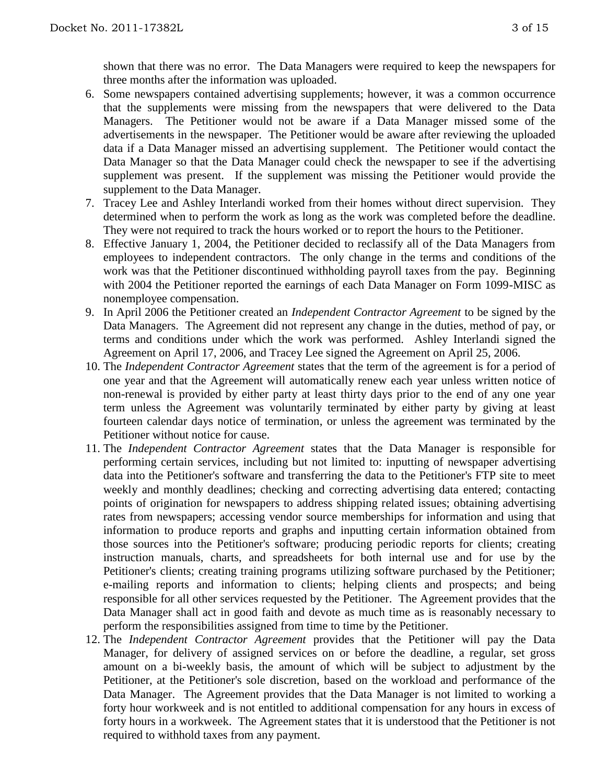shown that there was no error. The Data Managers were required to keep the newspapers for three months after the information was uploaded.

- 6. Some newspapers contained advertising supplements; however, it was a common occurrence that the supplements were missing from the newspapers that were delivered to the Data Managers. The Petitioner would not be aware if a Data Manager missed some of the advertisements in the newspaper. The Petitioner would be aware after reviewing the uploaded data if a Data Manager missed an advertising supplement. The Petitioner would contact the Data Manager so that the Data Manager could check the newspaper to see if the advertising supplement was present. If the supplement was missing the Petitioner would provide the supplement to the Data Manager.
- 7. Tracey Lee and Ashley Interlandi worked from their homes without direct supervision. They determined when to perform the work as long as the work was completed before the deadline. They were not required to track the hours worked or to report the hours to the Petitioner.
- 8. Effective January 1, 2004, the Petitioner decided to reclassify all of the Data Managers from employees to independent contractors. The only change in the terms and conditions of the work was that the Petitioner discontinued withholding payroll taxes from the pay. Beginning with 2004 the Petitioner reported the earnings of each Data Manager on Form 1099-MISC as nonemployee compensation.
- 9. In April 2006 the Petitioner created an *Independent Contractor Agreement* to be signed by the Data Managers. The Agreement did not represent any change in the duties, method of pay, or terms and conditions under which the work was performed. Ashley Interlandi signed the Agreement on April 17, 2006, and Tracey Lee signed the Agreement on April 25, 2006.
- 10. The *Independent Contractor Agreement* states that the term of the agreement is for a period of one year and that the Agreement will automatically renew each year unless written notice of non-renewal is provided by either party at least thirty days prior to the end of any one year term unless the Agreement was voluntarily terminated by either party by giving at least fourteen calendar days notice of termination, or unless the agreement was terminated by the Petitioner without notice for cause.
- 11. The *Independent Contractor Agreement* states that the Data Manager is responsible for performing certain services, including but not limited to: inputting of newspaper advertising data into the Petitioner's software and transferring the data to the Petitioner's FTP site to meet weekly and monthly deadlines; checking and correcting advertising data entered; contacting points of origination for newspapers to address shipping related issues; obtaining advertising rates from newspapers; accessing vendor source memberships for information and using that information to produce reports and graphs and inputting certain information obtained from those sources into the Petitioner's software; producing periodic reports for clients; creating instruction manuals, charts, and spreadsheets for both internal use and for use by the Petitioner's clients; creating training programs utilizing software purchased by the Petitioner; e-mailing reports and information to clients; helping clients and prospects; and being responsible for all other services requested by the Petitioner. The Agreement provides that the Data Manager shall act in good faith and devote as much time as is reasonably necessary to perform the responsibilities assigned from time to time by the Petitioner.
- 12. The *Independent Contractor Agreement* provides that the Petitioner will pay the Data Manager, for delivery of assigned services on or before the deadline, a regular, set gross amount on a bi-weekly basis, the amount of which will be subject to adjustment by the Petitioner, at the Petitioner's sole discretion, based on the workload and performance of the Data Manager. The Agreement provides that the Data Manager is not limited to working a forty hour workweek and is not entitled to additional compensation for any hours in excess of forty hours in a workweek. The Agreement states that it is understood that the Petitioner is not required to withhold taxes from any payment.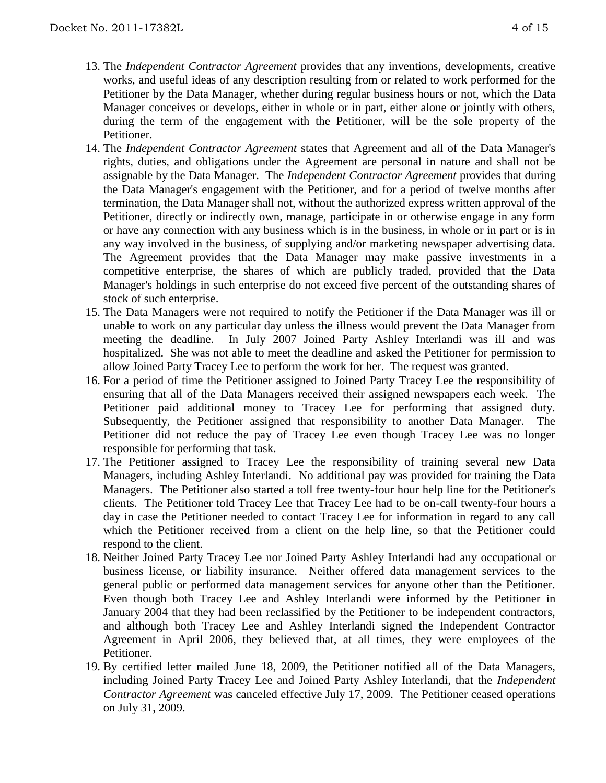- 13. The *Independent Contractor Agreement* provides that any inventions, developments, creative works, and useful ideas of any description resulting from or related to work performed for the Petitioner by the Data Manager, whether during regular business hours or not, which the Data Manager conceives or develops, either in whole or in part, either alone or jointly with others, during the term of the engagement with the Petitioner, will be the sole property of the Petitioner.
- 14. The *Independent Contractor Agreement* states that Agreement and all of the Data Manager's rights, duties, and obligations under the Agreement are personal in nature and shall not be assignable by the Data Manager. The *Independent Contractor Agreement* provides that during the Data Manager's engagement with the Petitioner, and for a period of twelve months after termination, the Data Manager shall not, without the authorized express written approval of the Petitioner, directly or indirectly own, manage, participate in or otherwise engage in any form or have any connection with any business which is in the business, in whole or in part or is in any way involved in the business, of supplying and/or marketing newspaper advertising data. The Agreement provides that the Data Manager may make passive investments in a competitive enterprise, the shares of which are publicly traded, provided that the Data Manager's holdings in such enterprise do not exceed five percent of the outstanding shares of stock of such enterprise.
- 15. The Data Managers were not required to notify the Petitioner if the Data Manager was ill or unable to work on any particular day unless the illness would prevent the Data Manager from meeting the deadline. In July 2007 Joined Party Ashley Interlandi was ill and was hospitalized. She was not able to meet the deadline and asked the Petitioner for permission to allow Joined Party Tracey Lee to perform the work for her. The request was granted.
- 16. For a period of time the Petitioner assigned to Joined Party Tracey Lee the responsibility of ensuring that all of the Data Managers received their assigned newspapers each week. The Petitioner paid additional money to Tracey Lee for performing that assigned duty. Subsequently, the Petitioner assigned that responsibility to another Data Manager. The Petitioner did not reduce the pay of Tracey Lee even though Tracey Lee was no longer responsible for performing that task.
- 17. The Petitioner assigned to Tracey Lee the responsibility of training several new Data Managers, including Ashley Interlandi. No additional pay was provided for training the Data Managers. The Petitioner also started a toll free twenty-four hour help line for the Petitioner's clients. The Petitioner told Tracey Lee that Tracey Lee had to be on-call twenty-four hours a day in case the Petitioner needed to contact Tracey Lee for information in regard to any call which the Petitioner received from a client on the help line, so that the Petitioner could respond to the client.
- 18. Neither Joined Party Tracey Lee nor Joined Party Ashley Interlandi had any occupational or business license, or liability insurance. Neither offered data management services to the general public or performed data management services for anyone other than the Petitioner. Even though both Tracey Lee and Ashley Interlandi were informed by the Petitioner in January 2004 that they had been reclassified by the Petitioner to be independent contractors, and although both Tracey Lee and Ashley Interlandi signed the Independent Contractor Agreement in April 2006, they believed that, at all times, they were employees of the Petitioner.
- 19. By certified letter mailed June 18, 2009, the Petitioner notified all of the Data Managers, including Joined Party Tracey Lee and Joined Party Ashley Interlandi, that the *Independent Contractor Agreement* was canceled effective July 17, 2009. The Petitioner ceased operations on July 31, 2009.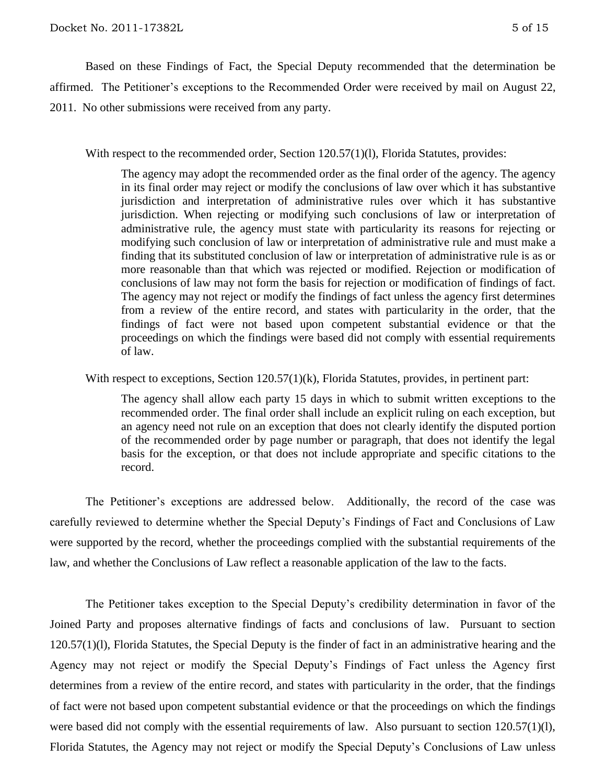Based on these Findings of Fact, the Special Deputy recommended that the determination be affirmed.The Petitioner's exceptions to the Recommended Order were received by mail on August 22, 2011. No other submissions were received from any party.

With respect to the recommended order, Section 120.57(1)(1), Florida Statutes, provides:

The agency may adopt the recommended order as the final order of the agency. The agency in its final order may reject or modify the conclusions of law over which it has substantive jurisdiction and interpretation of administrative rules over which it has substantive jurisdiction. When rejecting or modifying such conclusions of law or interpretation of administrative rule, the agency must state with particularity its reasons for rejecting or modifying such conclusion of law or interpretation of administrative rule and must make a finding that its substituted conclusion of law or interpretation of administrative rule is as or more reasonable than that which was rejected or modified. Rejection or modification of conclusions of law may not form the basis for rejection or modification of findings of fact. The agency may not reject or modify the findings of fact unless the agency first determines from a review of the entire record, and states with particularity in the order, that the findings of fact were not based upon competent substantial evidence or that the proceedings on which the findings were based did not comply with essential requirements of law.

With respect to exceptions, Section 120.57(1)(k), Florida Statutes, provides, in pertinent part:

The agency shall allow each party 15 days in which to submit written exceptions to the recommended order. The final order shall include an explicit ruling on each exception, but an agency need not rule on an exception that does not clearly identify the disputed portion of the recommended order by page number or paragraph, that does not identify the legal basis for the exception, or that does not include appropriate and specific citations to the record.

The Petitioner's exceptions are addressed below. Additionally, the record of the case was carefully reviewed to determine whether the Special Deputy's Findings of Fact and Conclusions of Law were supported by the record, whether the proceedings complied with the substantial requirements of the law, and whether the Conclusions of Law reflect a reasonable application of the law to the facts.

The Petitioner takes exception to the Special Deputy's credibility determination in favor of the Joined Party and proposes alternative findings of facts and conclusions of law. Pursuant to section 120.57(1)(l), Florida Statutes, the Special Deputy is the finder of fact in an administrative hearing and the Agency may not reject or modify the Special Deputy's Findings of Fact unless the Agency first determines from a review of the entire record, and states with particularity in the order, that the findings of fact were not based upon competent substantial evidence or that the proceedings on which the findings were based did not comply with the essential requirements of law. Also pursuant to section 120.57(1)(1), Florida Statutes, the Agency may not reject or modify the Special Deputy's Conclusions of Law unless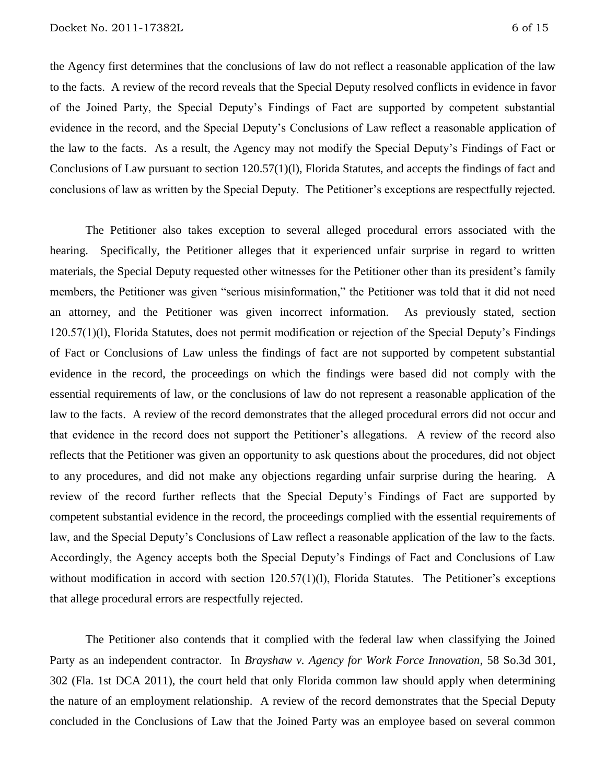the Agency first determines that the conclusions of law do not reflect a reasonable application of the law to the facts. A review of the record reveals that the Special Deputy resolved conflicts in evidence in favor of the Joined Party, the Special Deputy's Findings of Fact are supported by competent substantial evidence in the record, and the Special Deputy's Conclusions of Law reflect a reasonable application of the law to the facts. As a result, the Agency may not modify the Special Deputy's Findings of Fact or Conclusions of Law pursuant to section 120.57(1)(l), Florida Statutes, and accepts the findings of fact and conclusions of law as written by the Special Deputy. The Petitioner's exceptions are respectfully rejected.

The Petitioner also takes exception to several alleged procedural errors associated with the hearing. Specifically, the Petitioner alleges that it experienced unfair surprise in regard to written materials, the Special Deputy requested other witnesses for the Petitioner other than its president's family members, the Petitioner was given "serious misinformation," the Petitioner was told that it did not need an attorney, and the Petitioner was given incorrect information. As previously stated, section 120.57(1)(l), Florida Statutes, does not permit modification or rejection of the Special Deputy's Findings of Fact or Conclusions of Law unless the findings of fact are not supported by competent substantial evidence in the record, the proceedings on which the findings were based did not comply with the essential requirements of law, or the conclusions of law do not represent a reasonable application of the law to the facts. A review of the record demonstrates that the alleged procedural errors did not occur and that evidence in the record does not support the Petitioner's allegations. A review of the record also reflects that the Petitioner was given an opportunity to ask questions about the procedures, did not object to any procedures, and did not make any objections regarding unfair surprise during the hearing. A review of the record further reflects that the Special Deputy's Findings of Fact are supported by competent substantial evidence in the record, the proceedings complied with the essential requirements of law, and the Special Deputy's Conclusions of Law reflect a reasonable application of the law to the facts. Accordingly, the Agency accepts both the Special Deputy's Findings of Fact and Conclusions of Law without modification in accord with section 120.57(1)(1), Florida Statutes. The Petitioner's exceptions that allege procedural errors are respectfully rejected.

The Petitioner also contends that it complied with the federal law when classifying the Joined Party as an independent contractor. In *Brayshaw v. Agency for Work Force Innovation*, 58 So.3d 301, 302 (Fla. 1st DCA 2011), the court held that only Florida common law should apply when determining the nature of an employment relationship. A review of the record demonstrates that the Special Deputy concluded in the Conclusions of Law that the Joined Party was an employee based on several common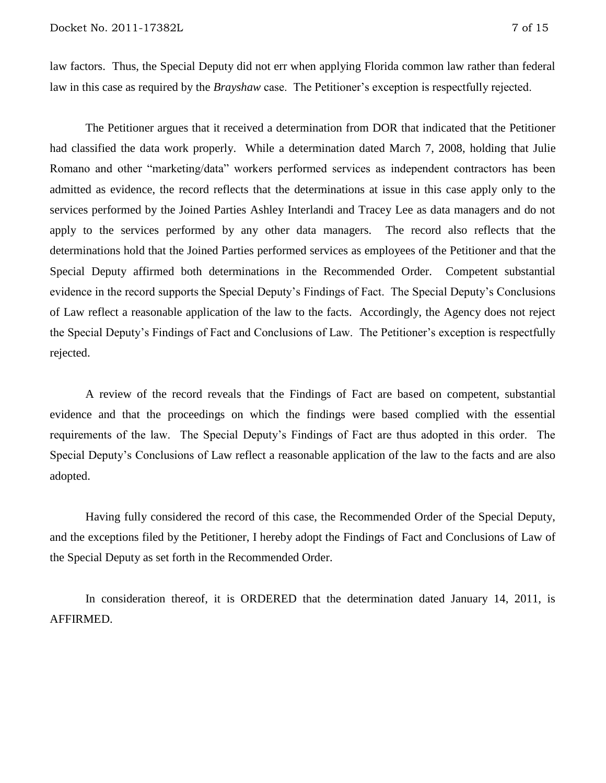law factors. Thus, the Special Deputy did not err when applying Florida common law rather than federal law in this case as required by the *Brayshaw* case. The Petitioner's exception is respectfully rejected.

The Petitioner argues that it received a determination from DOR that indicated that the Petitioner had classified the data work properly. While a determination dated March 7, 2008, holding that Julie Romano and other "marketing/data" workers performed services as independent contractors has been admitted as evidence, the record reflects that the determinations at issue in this case apply only to the services performed by the Joined Parties Ashley Interlandi and Tracey Lee as data managers and do not apply to the services performed by any other data managers. The record also reflects that the determinations hold that the Joined Parties performed services as employees of the Petitioner and that the Special Deputy affirmed both determinations in the Recommended Order. Competent substantial evidence in the record supports the Special Deputy's Findings of Fact. The Special Deputy's Conclusions of Law reflect a reasonable application of the law to the facts. Accordingly, the Agency does not reject the Special Deputy's Findings of Fact and Conclusions of Law. The Petitioner's exception is respectfully rejected.

A review of the record reveals that the Findings of Fact are based on competent, substantial evidence and that the proceedings on which the findings were based complied with the essential requirements of the law. The Special Deputy's Findings of Fact are thus adopted in this order. The Special Deputy's Conclusions of Law reflect a reasonable application of the law to the facts and are also adopted.

Having fully considered the record of this case, the Recommended Order of the Special Deputy, and the exceptions filed by the Petitioner, I hereby adopt the Findings of Fact and Conclusions of Law of the Special Deputy as set forth in the Recommended Order.

In consideration thereof, it is ORDERED that the determination dated January 14, 2011, is AFFIRMED.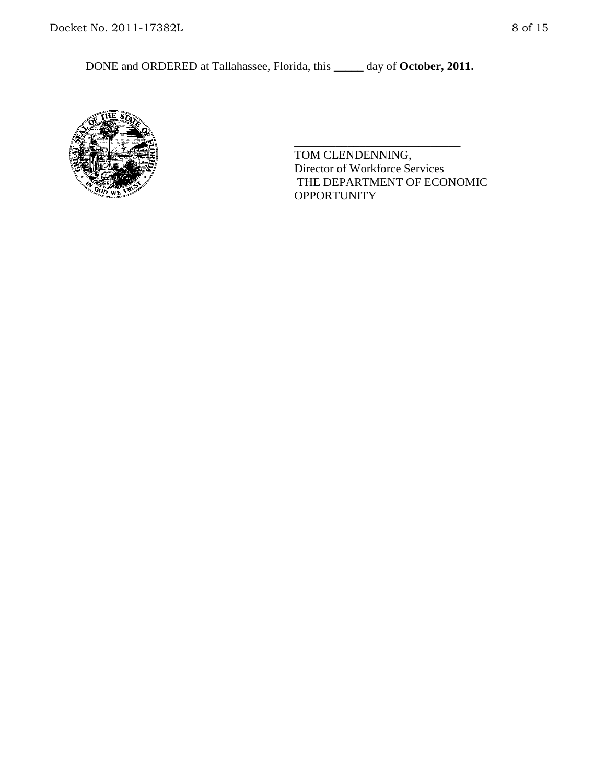

TOM CLENDENNING, Director of Workforce Services THE DEPARTMENT OF ECONOMIC **OPPORTUNITY** 

\_\_\_\_\_\_\_\_\_\_\_\_\_\_\_\_\_\_\_\_\_\_\_\_\_\_\_\_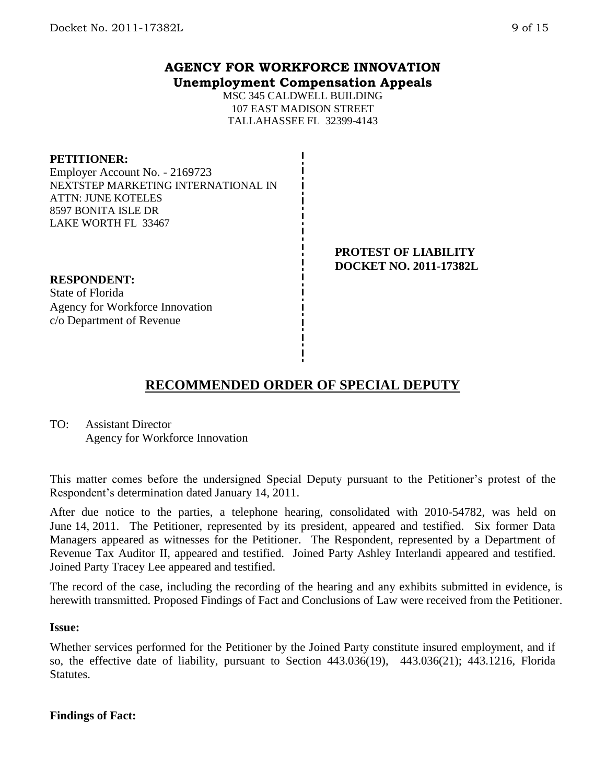### **AGENCY FOR WORKFORCE INNOVATION Unemployment Compensation Appeals**

MSC 345 CALDWELL BUILDING 107 EAST MADISON STREET TALLAHASSEE FL 32399-4143

#### **PETITIONER:**

Employer Account No. - 2169723 NEXTSTEP MARKETING INTERNATIONAL IN ATTN: JUNE KOTELES 8597 BONITA ISLE DR LAKE WORTH FL 33467

#### **RESPONDENT:**

State of Florida Agency for Workforce Innovation c/o Department of Revenue

#### **PROTEST OF LIABILITY DOCKET NO. 2011-17382L**

## **RECOMMENDED ORDER OF SPECIAL DEPUTY**

TO: Assistant Director Agency for Workforce Innovation

This matter comes before the undersigned Special Deputy pursuant to the Petitioner's protest of the Respondent's determination dated January 14, 2011.

After due notice to the parties, a telephone hearing, consolidated with 2010-54782, was held on June 14, 2011. The Petitioner, represented by its president, appeared and testified. Six former Data Managers appeared as witnesses for the Petitioner. The Respondent, represented by a Department of Revenue Tax Auditor II, appeared and testified. Joined Party Ashley Interlandi appeared and testified. Joined Party Tracey Lee appeared and testified.

The record of the case, including the recording of the hearing and any exhibits submitted in evidence, is herewith transmitted. Proposed Findings of Fact and Conclusions of Law were received from the Petitioner.

#### **Issue:**

Whether services performed for the Petitioner by the Joined Party constitute insured employment, and if so, the effective date of liability, pursuant to Section 443.036(19), 443.036(21); 443.1216, Florida Statutes.

#### **Findings of Fact:**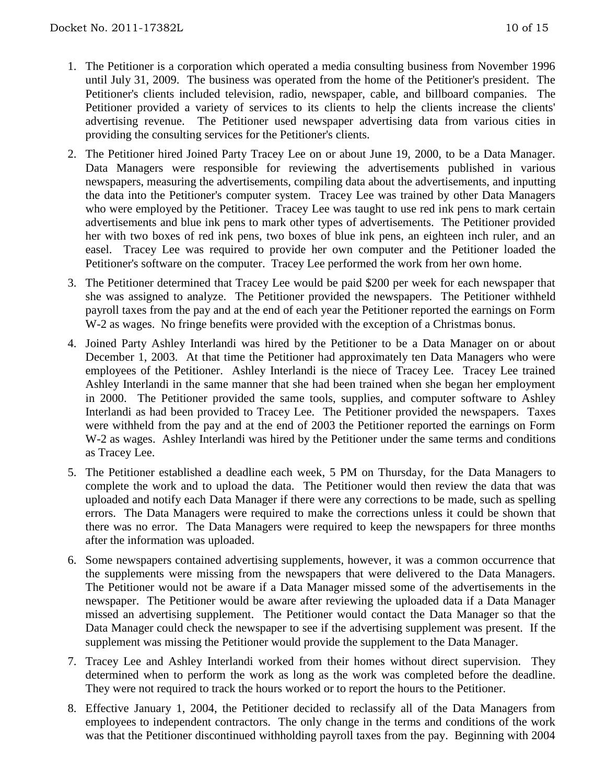- 1. The Petitioner is a corporation which operated a media consulting business from November 1996 until July 31, 2009. The business was operated from the home of the Petitioner's president. The Petitioner's clients included television, radio, newspaper, cable, and billboard companies. The Petitioner provided a variety of services to its clients to help the clients increase the clients' advertising revenue. The Petitioner used newspaper advertising data from various cities in providing the consulting services for the Petitioner's clients.
- 2. The Petitioner hired Joined Party Tracey Lee on or about June 19, 2000, to be a Data Manager. Data Managers were responsible for reviewing the advertisements published in various newspapers, measuring the advertisements, compiling data about the advertisements, and inputting the data into the Petitioner's computer system. Tracey Lee was trained by other Data Managers who were employed by the Petitioner. Tracey Lee was taught to use red ink pens to mark certain advertisements and blue ink pens to mark other types of advertisements. The Petitioner provided her with two boxes of red ink pens, two boxes of blue ink pens, an eighteen inch ruler, and an easel. Tracey Lee was required to provide her own computer and the Petitioner loaded the Petitioner's software on the computer. Tracey Lee performed the work from her own home.
- 3. The Petitioner determined that Tracey Lee would be paid \$200 per week for each newspaper that she was assigned to analyze. The Petitioner provided the newspapers. The Petitioner withheld payroll taxes from the pay and at the end of each year the Petitioner reported the earnings on Form W-2 as wages. No fringe benefits were provided with the exception of a Christmas bonus.
- 4. Joined Party Ashley Interlandi was hired by the Petitioner to be a Data Manager on or about December 1, 2003. At that time the Petitioner had approximately ten Data Managers who were employees of the Petitioner. Ashley Interlandi is the niece of Tracey Lee. Tracey Lee trained Ashley Interlandi in the same manner that she had been trained when she began her employment in 2000. The Petitioner provided the same tools, supplies, and computer software to Ashley Interlandi as had been provided to Tracey Lee. The Petitioner provided the newspapers. Taxes were withheld from the pay and at the end of 2003 the Petitioner reported the earnings on Form W-2 as wages. Ashley Interlandi was hired by the Petitioner under the same terms and conditions as Tracey Lee.
- 5. The Petitioner established a deadline each week, 5 PM on Thursday, for the Data Managers to complete the work and to upload the data. The Petitioner would then review the data that was uploaded and notify each Data Manager if there were any corrections to be made, such as spelling errors. The Data Managers were required to make the corrections unless it could be shown that there was no error. The Data Managers were required to keep the newspapers for three months after the information was uploaded.
- 6. Some newspapers contained advertising supplements, however, it was a common occurrence that the supplements were missing from the newspapers that were delivered to the Data Managers. The Petitioner would not be aware if a Data Manager missed some of the advertisements in the newspaper. The Petitioner would be aware after reviewing the uploaded data if a Data Manager missed an advertising supplement. The Petitioner would contact the Data Manager so that the Data Manager could check the newspaper to see if the advertising supplement was present. If the supplement was missing the Petitioner would provide the supplement to the Data Manager.
- 7. Tracey Lee and Ashley Interlandi worked from their homes without direct supervision. They determined when to perform the work as long as the work was completed before the deadline. They were not required to track the hours worked or to report the hours to the Petitioner.
- 8. Effective January 1, 2004, the Petitioner decided to reclassify all of the Data Managers from employees to independent contractors. The only change in the terms and conditions of the work was that the Petitioner discontinued withholding payroll taxes from the pay. Beginning with 2004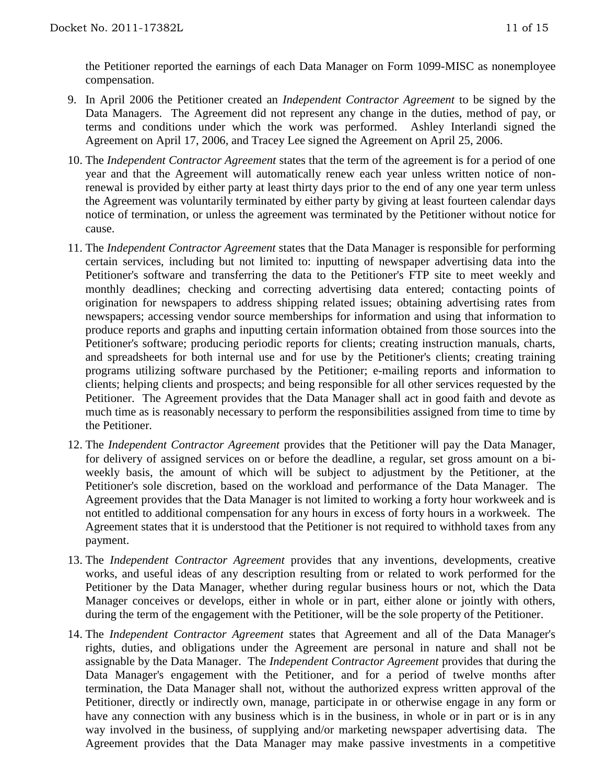the Petitioner reported the earnings of each Data Manager on Form 1099-MISC as nonemployee compensation.

- 9. In April 2006 the Petitioner created an *Independent Contractor Agreement* to be signed by the Data Managers. The Agreement did not represent any change in the duties, method of pay, or terms and conditions under which the work was performed. Ashley Interlandi signed the Agreement on April 17, 2006, and Tracey Lee signed the Agreement on April 25, 2006.
- 10. The *Independent Contractor Agreement* states that the term of the agreement is for a period of one year and that the Agreement will automatically renew each year unless written notice of nonrenewal is provided by either party at least thirty days prior to the end of any one year term unless the Agreement was voluntarily terminated by either party by giving at least fourteen calendar days notice of termination, or unless the agreement was terminated by the Petitioner without notice for cause.
- 11. The *Independent Contractor Agreement* states that the Data Manager is responsible for performing certain services, including but not limited to: inputting of newspaper advertising data into the Petitioner's software and transferring the data to the Petitioner's FTP site to meet weekly and monthly deadlines; checking and correcting advertising data entered; contacting points of origination for newspapers to address shipping related issues; obtaining advertising rates from newspapers; accessing vendor source memberships for information and using that information to produce reports and graphs and inputting certain information obtained from those sources into the Petitioner's software; producing periodic reports for clients; creating instruction manuals, charts, and spreadsheets for both internal use and for use by the Petitioner's clients; creating training programs utilizing software purchased by the Petitioner; e-mailing reports and information to clients; helping clients and prospects; and being responsible for all other services requested by the Petitioner. The Agreement provides that the Data Manager shall act in good faith and devote as much time as is reasonably necessary to perform the responsibilities assigned from time to time by the Petitioner.
- 12. The *Independent Contractor Agreement* provides that the Petitioner will pay the Data Manager, for delivery of assigned services on or before the deadline, a regular, set gross amount on a biweekly basis, the amount of which will be subject to adjustment by the Petitioner, at the Petitioner's sole discretion, based on the workload and performance of the Data Manager. The Agreement provides that the Data Manager is not limited to working a forty hour workweek and is not entitled to additional compensation for any hours in excess of forty hours in a workweek. The Agreement states that it is understood that the Petitioner is not required to withhold taxes from any payment.
- 13. The *Independent Contractor Agreement* provides that any inventions, developments, creative works, and useful ideas of any description resulting from or related to work performed for the Petitioner by the Data Manager, whether during regular business hours or not, which the Data Manager conceives or develops, either in whole or in part, either alone or jointly with others, during the term of the engagement with the Petitioner, will be the sole property of the Petitioner.
- 14. The *Independent Contractor Agreement* states that Agreement and all of the Data Manager's rights, duties, and obligations under the Agreement are personal in nature and shall not be assignable by the Data Manager. The *Independent Contractor Agreement* provides that during the Data Manager's engagement with the Petitioner, and for a period of twelve months after termination, the Data Manager shall not, without the authorized express written approval of the Petitioner, directly or indirectly own, manage, participate in or otherwise engage in any form or have any connection with any business which is in the business, in whole or in part or is in any way involved in the business, of supplying and/or marketing newspaper advertising data. The Agreement provides that the Data Manager may make passive investments in a competitive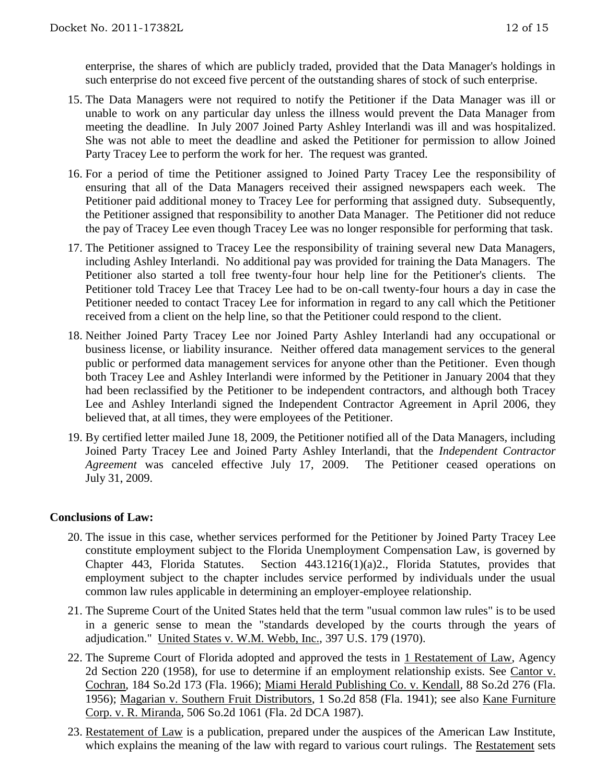enterprise, the shares of which are publicly traded, provided that the Data Manager's holdings in such enterprise do not exceed five percent of the outstanding shares of stock of such enterprise.

- 15. The Data Managers were not required to notify the Petitioner if the Data Manager was ill or unable to work on any particular day unless the illness would prevent the Data Manager from meeting the deadline. In July 2007 Joined Party Ashley Interlandi was ill and was hospitalized. She was not able to meet the deadline and asked the Petitioner for permission to allow Joined Party Tracey Lee to perform the work for her. The request was granted.
- 16. For a period of time the Petitioner assigned to Joined Party Tracey Lee the responsibility of ensuring that all of the Data Managers received their assigned newspapers each week. The Petitioner paid additional money to Tracey Lee for performing that assigned duty. Subsequently, the Petitioner assigned that responsibility to another Data Manager. The Petitioner did not reduce the pay of Tracey Lee even though Tracey Lee was no longer responsible for performing that task.
- 17. The Petitioner assigned to Tracey Lee the responsibility of training several new Data Managers, including Ashley Interlandi. No additional pay was provided for training the Data Managers. The Petitioner also started a toll free twenty-four hour help line for the Petitioner's clients. The Petitioner told Tracey Lee that Tracey Lee had to be on-call twenty-four hours a day in case the Petitioner needed to contact Tracey Lee for information in regard to any call which the Petitioner received from a client on the help line, so that the Petitioner could respond to the client.
- 18. Neither Joined Party Tracey Lee nor Joined Party Ashley Interlandi had any occupational or business license, or liability insurance. Neither offered data management services to the general public or performed data management services for anyone other than the Petitioner. Even though both Tracey Lee and Ashley Interlandi were informed by the Petitioner in January 2004 that they had been reclassified by the Petitioner to be independent contractors, and although both Tracey Lee and Ashley Interlandi signed the Independent Contractor Agreement in April 2006, they believed that, at all times, they were employees of the Petitioner.
- 19. By certified letter mailed June 18, 2009, the Petitioner notified all of the Data Managers, including Joined Party Tracey Lee and Joined Party Ashley Interlandi, that the *Independent Contractor Agreement* was canceled effective July 17, 2009. The Petitioner ceased operations on July 31, 2009.

## **Conclusions of Law:**

- 20. The issue in this case, whether services performed for the Petitioner by Joined Party Tracey Lee constitute employment subject to the Florida Unemployment Compensation Law, is governed by Chapter 443, Florida Statutes. Section 443.1216(1)(a)2., Florida Statutes, provides that employment subject to the chapter includes service performed by individuals under the usual common law rules applicable in determining an employer-employee relationship.
- 21. The Supreme Court of the United States held that the term "usual common law rules" is to be used in a generic sense to mean the "standards developed by the courts through the years of adjudication." United States v. W.M. Webb, Inc., 397 U.S. 179 (1970).
- 22. The Supreme Court of Florida adopted and approved the tests in 1 Restatement of Law, Agency 2d Section 220 (1958), for use to determine if an employment relationship exists. See Cantor v. Cochran, 184 So.2d 173 (Fla. 1966); Miami Herald Publishing Co. v. Kendall, 88 So.2d 276 (Fla. 1956); Magarian v. Southern Fruit Distributors, 1 So.2d 858 (Fla. 1941); see also Kane Furniture Corp. v. R. Miranda, 506 So.2d 1061 (Fla. 2d DCA 1987).
- 23. Restatement of Law is a publication, prepared under the auspices of the American Law Institute, which explains the meaning of the law with regard to various court rulings. The Restatement sets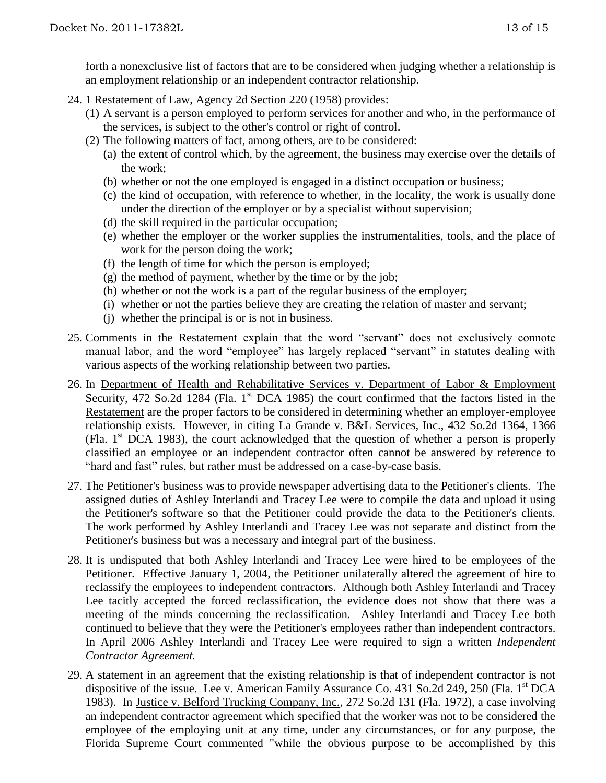forth a nonexclusive list of factors that are to be considered when judging whether a relationship is an employment relationship or an independent contractor relationship.

- 24. 1 Restatement of Law, Agency 2d Section 220 (1958) provides:
	- (1) A servant is a person employed to perform services for another and who, in the performance of the services, is subject to the other's control or right of control.
	- (2) The following matters of fact, among others, are to be considered:
		- (a) the extent of control which, by the agreement, the business may exercise over the details of the work;
		- (b) whether or not the one employed is engaged in a distinct occupation or business;
		- (c) the kind of occupation, with reference to whether, in the locality, the work is usually done under the direction of the employer or by a specialist without supervision;
		- (d) the skill required in the particular occupation;
		- (e) whether the employer or the worker supplies the instrumentalities, tools, and the place of work for the person doing the work;
		- (f) the length of time for which the person is employed;
		- (g) the method of payment, whether by the time or by the job;
		- (h) whether or not the work is a part of the regular business of the employer;
		- (i) whether or not the parties believe they are creating the relation of master and servant;
		- (j) whether the principal is or is not in business.
- 25. Comments in the Restatement explain that the word "servant" does not exclusively connote manual labor, and the word "employee" has largely replaced "servant" in statutes dealing with various aspects of the working relationship between two parties.
- 26. In Department of Health and Rehabilitative Services v. Department of Labor & Employment Security, 472 So.2d 1284 (Fla. 1<sup>st</sup> DCA 1985) the court confirmed that the factors listed in the Restatement are the proper factors to be considered in determining whether an employer-employee relationship exists. However, in citing La Grande v. B&L Services, Inc., 432 So.2d 1364, 1366 (Fla.  $1<sup>st</sup> DCA$  1983), the court acknowledged that the question of whether a person is properly classified an employee or an independent contractor often cannot be answered by reference to "hard and fast" rules, but rather must be addressed on a case-by-case basis.
- 27. The Petitioner's business was to provide newspaper advertising data to the Petitioner's clients. The assigned duties of Ashley Interlandi and Tracey Lee were to compile the data and upload it using the Petitioner's software so that the Petitioner could provide the data to the Petitioner's clients. The work performed by Ashley Interlandi and Tracey Lee was not separate and distinct from the Petitioner's business but was a necessary and integral part of the business.
- 28. It is undisputed that both Ashley Interlandi and Tracey Lee were hired to be employees of the Petitioner. Effective January 1, 2004, the Petitioner unilaterally altered the agreement of hire to reclassify the employees to independent contractors. Although both Ashley Interlandi and Tracey Lee tacitly accepted the forced reclassification, the evidence does not show that there was a meeting of the minds concerning the reclassification. Ashley Interlandi and Tracey Lee both continued to believe that they were the Petitioner's employees rather than independent contractors. In April 2006 Ashley Interlandi and Tracey Lee were required to sign a written *Independent Contractor Agreement.*
- 29. A statement in an agreement that the existing relationship is that of independent contractor is not dispositive of the issue. Lee v. American Family Assurance Co. 431 So.2d 249, 250 (Fla. 1<sup>st</sup> DCA 1983). In Justice v. Belford Trucking Company, Inc., 272 So.2d 131 (Fla. 1972), a case involving an independent contractor agreement which specified that the worker was not to be considered the employee of the employing unit at any time, under any circumstances, or for any purpose, the Florida Supreme Court commented "while the obvious purpose to be accomplished by this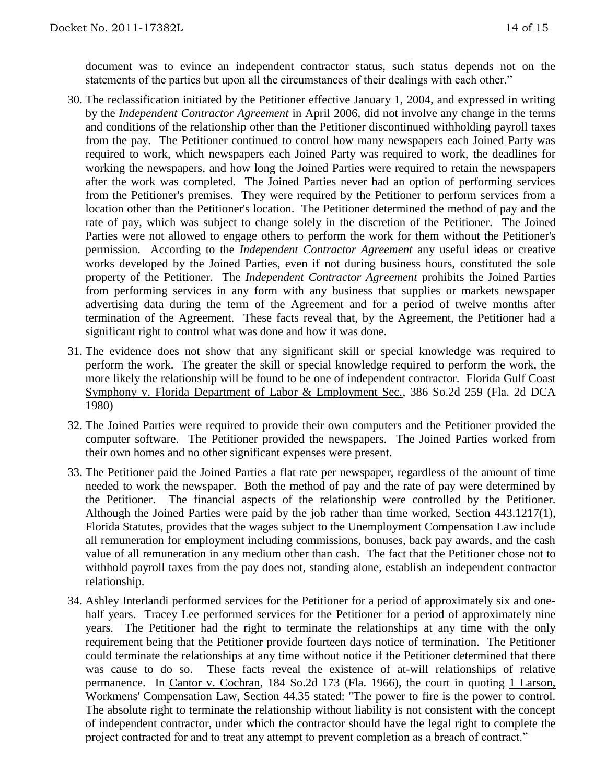document was to evince an independent contractor status, such status depends not on the statements of the parties but upon all the circumstances of their dealings with each other."

- 30. The reclassification initiated by the Petitioner effective January 1, 2004, and expressed in writing by the *Independent Contractor Agreement* in April 2006, did not involve any change in the terms and conditions of the relationship other than the Petitioner discontinued withholding payroll taxes from the pay. The Petitioner continued to control how many newspapers each Joined Party was required to work, which newspapers each Joined Party was required to work, the deadlines for working the newspapers, and how long the Joined Parties were required to retain the newspapers after the work was completed. The Joined Parties never had an option of performing services from the Petitioner's premises. They were required by the Petitioner to perform services from a location other than the Petitioner's location. The Petitioner determined the method of pay and the rate of pay, which was subject to change solely in the discretion of the Petitioner. The Joined Parties were not allowed to engage others to perform the work for them without the Petitioner's permission. According to the *Independent Contractor Agreement* any useful ideas or creative works developed by the Joined Parties, even if not during business hours, constituted the sole property of the Petitioner. The *Independent Contractor Agreement* prohibits the Joined Parties from performing services in any form with any business that supplies or markets newspaper advertising data during the term of the Agreement and for a period of twelve months after termination of the Agreement. These facts reveal that, by the Agreement, the Petitioner had a significant right to control what was done and how it was done.
- 31. The evidence does not show that any significant skill or special knowledge was required to perform the work. The greater the skill or special knowledge required to perform the work, the more likely the relationship will be found to be one of independent contractor. Florida Gulf Coast Symphony v. Florida Department of Labor & Employment Sec., 386 So.2d 259 (Fla. 2d DCA 1980)
- 32. The Joined Parties were required to provide their own computers and the Petitioner provided the computer software. The Petitioner provided the newspapers. The Joined Parties worked from their own homes and no other significant expenses were present.
- 33. The Petitioner paid the Joined Parties a flat rate per newspaper, regardless of the amount of time needed to work the newspaper. Both the method of pay and the rate of pay were determined by the Petitioner. The financial aspects of the relationship were controlled by the Petitioner. Although the Joined Parties were paid by the job rather than time worked, Section 443.1217(1), Florida Statutes, provides that the wages subject to the Unemployment Compensation Law include all remuneration for employment including commissions, bonuses, back pay awards, and the cash value of all remuneration in any medium other than cash. The fact that the Petitioner chose not to withhold payroll taxes from the pay does not, standing alone, establish an independent contractor relationship.
- 34. Ashley Interlandi performed services for the Petitioner for a period of approximately six and onehalf years. Tracey Lee performed services for the Petitioner for a period of approximately nine years. The Petitioner had the right to terminate the relationships at any time with the only requirement being that the Petitioner provide fourteen days notice of termination. The Petitioner could terminate the relationships at any time without notice if the Petitioner determined that there was cause to do so. These facts reveal the existence of at-will relationships of relative permanence. In Cantor v. Cochran, 184 So.2d 173 (Fla. 1966), the court in quoting 1 Larson, Workmens' Compensation Law, Section 44.35 stated: "The power to fire is the power to control. The absolute right to terminate the relationship without liability is not consistent with the concept of independent contractor, under which the contractor should have the legal right to complete the project contracted for and to treat any attempt to prevent completion as a breach of contract."